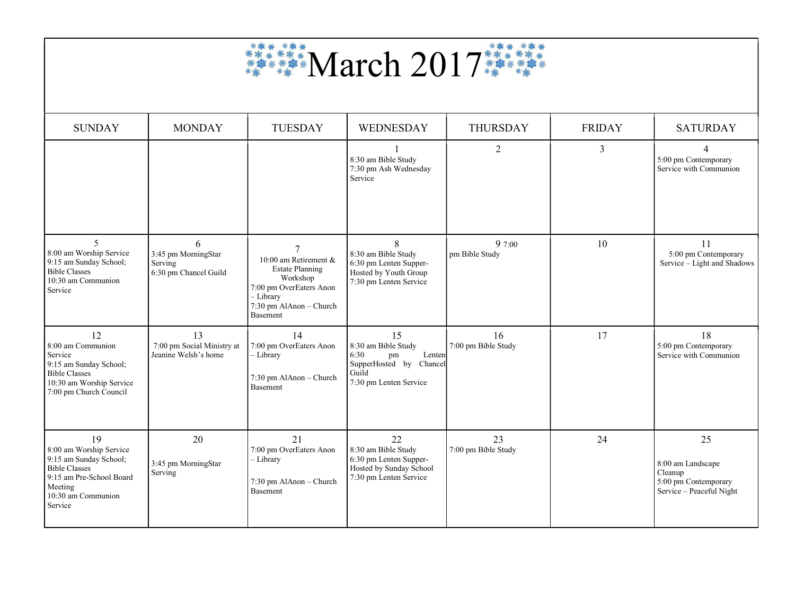

| <b>SUNDAY</b>                                                                                                                                           | <b>MONDAY</b>                                                | <b>TUESDAY</b>                                                                                                                             | <b>WEDNESDAY</b>                                                                                                   | <b>THURSDAY</b>           | <b>FRIDAY</b>  | <b>SATURDAY</b>                                                                        |
|---------------------------------------------------------------------------------------------------------------------------------------------------------|--------------------------------------------------------------|--------------------------------------------------------------------------------------------------------------------------------------------|--------------------------------------------------------------------------------------------------------------------|---------------------------|----------------|----------------------------------------------------------------------------------------|
|                                                                                                                                                         |                                                              |                                                                                                                                            | 8:30 am Bible Study<br>7:30 pm Ash Wednesday<br>Service                                                            | $\overline{2}$            | $\overline{3}$ | $\overline{4}$<br>5:00 pm Contemporary<br>Service with Communion                       |
| $\overline{5}$<br>8:00 am Worship Service<br>9:15 am Sunday School;<br><b>Bible Classes</b><br>10:30 am Communion<br>Service                            | 6<br>3:45 pm MorningStar<br>Serving<br>6:30 pm Chancel Guild | 10:00 am Retirement &<br><b>Estate Planning</b><br>Workshop<br>7:00 pm OverEaters Anon<br>- Library<br>7:30 pm AlAnon - Church<br>Basement | 8<br>8:30 am Bible Study<br>6:30 pm Lenten Supper-<br>Hosted by Youth Group<br>7:30 pm Lenten Service              | 9 7:00<br>pm Bible Study  | 10             | 11<br>5:00 pm Contemporary<br>Service - Light and Shadows                              |
| 12<br>8:00 am Communion<br>Service<br>9:15 am Sunday School;<br><b>Bible Classes</b><br>10:30 am Worship Service<br>7:00 pm Church Council              | 13<br>7:00 pm Social Ministry at<br>Jeanine Welsh's home     | 14<br>7:00 pm OverEaters Anon<br>- Library<br>7:30 pm AlAnon - Church<br><b>Basement</b>                                                   | 15<br>8:30 am Bible Study<br>6:30<br>Lenten<br>pm<br>SupperHosted by<br>Chancel<br>Guild<br>7:30 pm Lenten Service | 16<br>7:00 pm Bible Study | 17             | 18<br>5:00 pm Contemporary<br>Service with Communion                                   |
| 19<br>8:00 am Worship Service<br>9:15 am Sunday School;<br><b>Bible Classes</b><br>9:15 am Pre-School Board<br>Meeting<br>10:30 am Communion<br>Service | 20<br>3:45 pm MorningStar<br>Serving                         | 21<br>7:00 pm OverEaters Anon<br>- Library<br>7:30 pm AlAnon - Church<br><b>Basement</b>                                                   | 22<br>8:30 am Bible Study<br>6:30 pm Lenten Supper-<br>Hosted by Sunday School<br>7:30 pm Lenten Service           | 23<br>7:00 pm Bible Study | 24             | 25<br>8:00 am Landscape<br>Cleanup<br>5:00 pm Contemporary<br>Service - Peaceful Night |